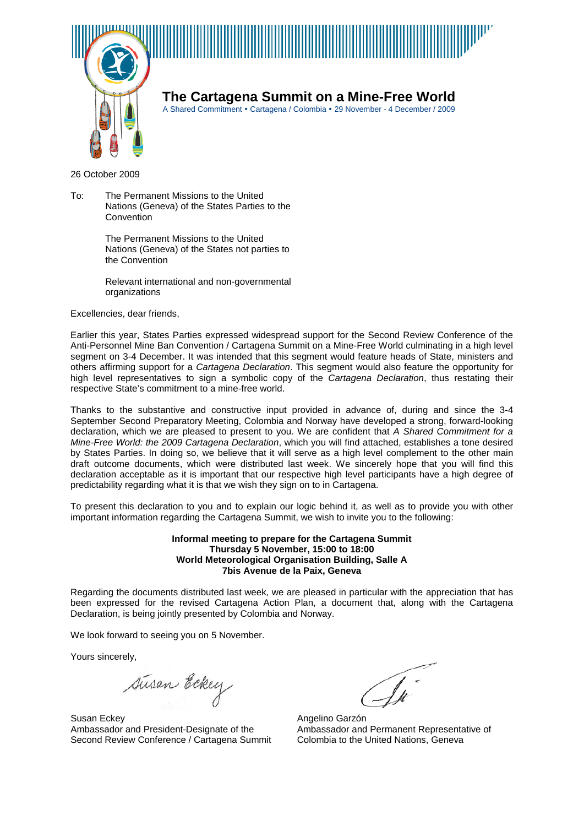



**The Cartagena Summit on a Mine-Free World**

A Shared Commitment • Cartagena / Colombia • 29 November - 4 December / 2009

26 October 2009

To: The Permanent Missions to the United Nations (Geneva) of the States Parties to the **Convention** 

> The Permanent Missions to the United Nations (Geneva) of the States not parties to the Convention

> Relevant international and non-governmental organizations

Excellencies, dear friends,

Earlier this year, States Parties expressed widespread support for the Second Review Conference of the Anti-Personnel Mine Ban Convention / Cartagena Summit on a Mine-Free World culminating in a high level segment on 3-4 December. It was intended that this segment would feature heads of State, ministers and others affirming support for a *Cartagena Declaration*. This segment would also feature the opportunity for high level representatives to sign a symbolic copy of the *Cartagena Declaration*, thus restating their respective State's commitment to a mine-free world.

Thanks to the substantive and constructive input provided in advance of, during and since the 3-4 September Second Preparatory Meeting, Colombia and Norway have developed a strong, forward-looking declaration, which we are pleased to present to you. We are confident that *A Shared Commitment for a Mine-Free World: the 2009 Cartagena Declaration*, which you will find attached, establishes a tone desired by States Parties. In doing so, we believe that it will serve as a high level complement to the other main draft outcome documents, which were distributed last week. We sincerely hope that you will find this declaration acceptable as it is important that our respective high level participants have a high degree of predictability regarding what it is that we wish they sign on to in Cartagena.

To present this declaration to you and to explain our logic behind it, as well as to provide you with other important information regarding the Cartagena Summit, we wish to invite you to the following:

#### **Informal meeting to prepare for the Cartagena Summit Thursday 5 November, 15:00 to 18:00 World Meteorological Organisation Building, Salle A 7bis Avenue de la Paix, Geneva**

Regarding the documents distributed last week, we are pleased in particular with the appreciation that has been expressed for the revised Cartagena Action Plan, a document that, along with the Cartagena Declaration, is being jointly presented by Colombia and Norway.

We look forward to seeing you on 5 November.

Yours sincerely,

susan Eckey

Susan Eckey Ambassador and President-Designate of the Second Review Conference / Cartagena Summit

 $\widehat{\mathscr{N}}$ 

Angelino Garzón Ambassador and Permanent Representative of Colombia to the United Nations, Geneva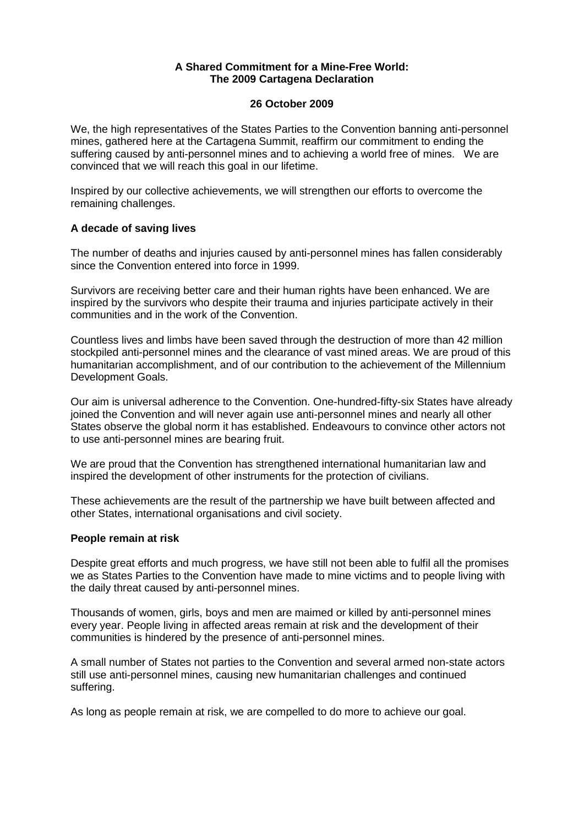## **A Shared Commitment for a Mine-Free World: The 2009 Cartagena Declaration**

### **26 October 2009**

We, the high representatives of the States Parties to the Convention banning anti-personnel mines, gathered here at the Cartagena Summit, reaffirm our commitment to ending the suffering caused by anti-personnel mines and to achieving a world free of mines. We are convinced that we will reach this goal in our lifetime.

Inspired by our collective achievements, we will strengthen our efforts to overcome the remaining challenges.

# **A decade of saving lives**

The number of deaths and injuries caused by anti-personnel mines has fallen considerably since the Convention entered into force in 1999.

Survivors are receiving better care and their human rights have been enhanced. We are inspired by the survivors who despite their trauma and injuries participate actively in their communities and in the work of the Convention.

Countless lives and limbs have been saved through the destruction of more than 42 million stockpiled anti-personnel mines and the clearance of vast mined areas. We are proud of this humanitarian accomplishment, and of our contribution to the achievement of the Millennium Development Goals.

Our aim is universal adherence to the Convention. One-hundred-fifty-six States have already joined the Convention and will never again use anti-personnel mines and nearly all other States observe the global norm it has established. Endeavours to convince other actors not to use anti-personnel mines are bearing fruit.

We are proud that the Convention has strengthened international humanitarian law and inspired the development of other instruments for the protection of civilians.

These achievements are the result of the partnership we have built between affected and other States, international organisations and civil society.

# **People remain at risk**

Despite great efforts and much progress, we have still not been able to fulfil all the promises we as States Parties to the Convention have made to mine victims and to people living with the daily threat caused by anti-personnel mines.

Thousands of women, girls, boys and men are maimed or killed by anti-personnel mines every year. People living in affected areas remain at risk and the development of their communities is hindered by the presence of anti-personnel mines.

A small number of States not parties to the Convention and several armed non-state actors still use anti-personnel mines, causing new humanitarian challenges and continued suffering.

As long as people remain at risk, we are compelled to do more to achieve our goal.